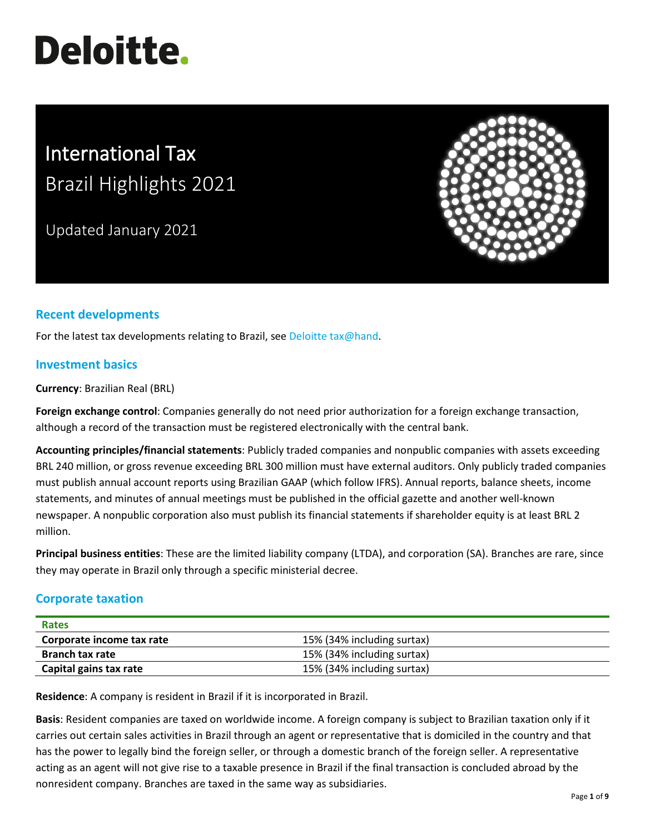# **Deloitte.**

# International Tax Brazil Highlights 2021

Updated January 2021



# **Recent developments**

For the latest tax developments relating to Brazil, see Deloitte tax@hand.

### **Investment basics**

**Currency**: Brazilian Real (BRL)

**Foreign exchange control**: Companies generally do not need prior authorization for a foreign exchange transaction, although a record of the transaction must be registered electronically with the central bank.

**Accounting principles/financial statements**: Publicly traded companies and nonpublic companies with assets exceeding BRL 240 million, or gross revenue exceeding BRL 300 million must have external auditors. Only publicly traded companies must publish annual account reports using Brazilian GAAP (which follow IFRS). Annual reports, balance sheets, income statements, and minutes of annual meetings must be published in the official gazette and another well-known newspaper. A nonpublic corporation also must publish its financial statements if shareholder equity is at least BRL 2 million.

**Principal business entities**: These are the limited liability company (LTDA), and corporation (SA). Branches are rare, since they may operate in Brazil only through a specific ministerial decree.

# **Corporate taxation**

| <b>Rates</b>              |                            |
|---------------------------|----------------------------|
| Corporate income tax rate | 15% (34% including surtax) |
| <b>Branch tax rate</b>    | 15% (34% including surtax) |
| Capital gains tax rate    | 15% (34% including surtax) |

**Residence**: A company is resident in Brazil if it is incorporated in Brazil.

**Basis**: Resident companies are taxed on worldwide income. A foreign company is subject to Brazilian taxation only if it carries out certain sales activities in Brazil through an agent or representative that is domiciled in the country and that has the power to legally bind the foreign seller, or through a domestic branch of the foreign seller. A representative acting as an agent will not give rise to a taxable presence in Brazil if the final transaction is concluded abroad by the nonresident company. Branches are taxed in the same way as subsidiaries.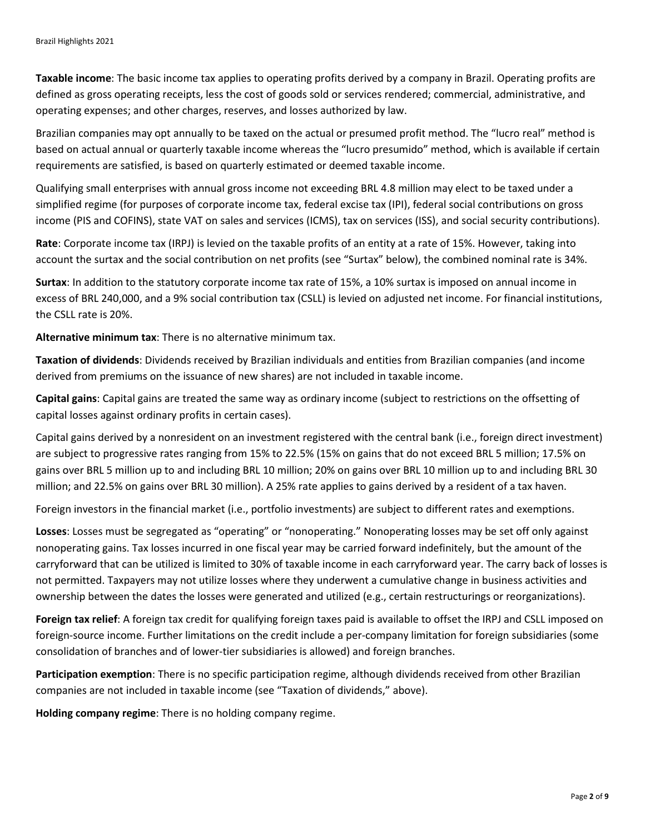**Taxable income**: The basic income tax applies to operating profits derived by a company in Brazil. Operating profits are defined as gross operating receipts, less the cost of goods sold or services rendered; commercial, administrative, and operating expenses; and other charges, reserves, and losses authorized by law.

Brazilian companies may opt annually to be taxed on the actual or presumed profit method. The "lucro real" method is based on actual annual or quarterly taxable income whereas the "lucro presumido" method, which is available if certain requirements are satisfied, is based on quarterly estimated or deemed taxable income.

Qualifying small enterprises with annual gross income not exceeding BRL 4.8 million may elect to be taxed under a simplified regime (for purposes of corporate income tax, federal excise tax (IPI), federal social contributions on gross income (PIS and COFINS), state VAT on sales and services (ICMS), tax on services (ISS), and social security contributions).

**Rate**: Corporate income tax (IRPJ) is levied on the taxable profits of an entity at a rate of 15%. However, taking into account the surtax and the social contribution on net profits (see "Surtax" below), the combined nominal rate is 34%.

**Surtax**: In addition to the statutory corporate income tax rate of 15%, a 10% surtax is imposed on annual income in excess of BRL 240,000, and a 9% social contribution tax (CSLL) is levied on adjusted net income. For financial institutions, the CSLL rate is 20%.

**Alternative minimum tax**: There is no alternative minimum tax.

**Taxation of dividends**: Dividends received by Brazilian individuals and entities from Brazilian companies (and income derived from premiums on the issuance of new shares) are not included in taxable income.

**Capital gains**: Capital gains are treated the same way as ordinary income (subject to restrictions on the offsetting of capital losses against ordinary profits in certain cases).

Capital gains derived by a nonresident on an investment registered with the central bank (i.e., foreign direct investment) are subject to progressive rates ranging from 15% to 22.5% (15% on gains that do not exceed BRL 5 million; 17.5% on gains over BRL 5 million up to and including BRL 10 million; 20% on gains over BRL 10 million up to and including BRL 30 million; and 22.5% on gains over BRL 30 million). A 25% rate applies to gains derived by a resident of a tax haven.

Foreign investors in the financial market (i.e., portfolio investments) are subject to different rates and exemptions.

**Losses**: Losses must be segregated as "operating" or "nonoperating." Nonoperating losses may be set off only against nonoperating gains. Tax losses incurred in one fiscal year may be carried forward indefinitely, but the amount of the carryforward that can be utilized is limited to 30% of taxable income in each carryforward year. The carry back of losses is not permitted. Taxpayers may not utilize losses where they underwent a cumulative change in business activities and ownership between the dates the losses were generated and utilized (e.g., certain restructurings or reorganizations).

**Foreign tax relief**: A foreign tax credit for qualifying foreign taxes paid is available to offset the IRPJ and CSLL imposed on foreign-source income. Further limitations on the credit include a per-company limitation for foreign subsidiaries (some consolidation of branches and of lower-tier subsidiaries is allowed) and foreign branches.

**Participation exemption**: There is no specific participation regime, although dividends received from other Brazilian companies are not included in taxable income (see "Taxation of dividends," above).

**Holding company regime**: There is no holding company regime.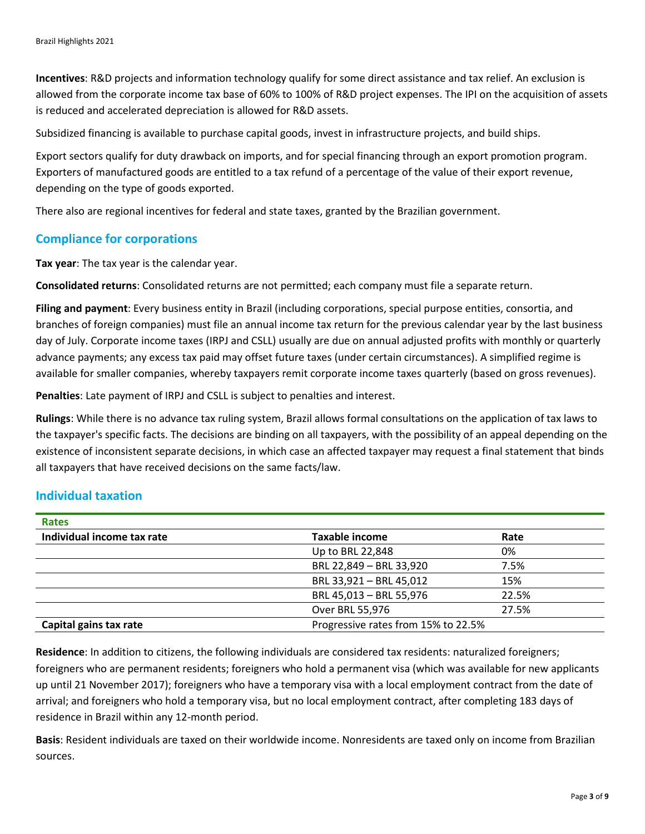**Incentives**: R&D projects and information technology qualify for some direct assistance and tax relief. An exclusion is allowed from the corporate income tax base of 60% to 100% of R&D project expenses. The IPI on the acquisition of assets is reduced and accelerated depreciation is allowed for R&D assets.

Subsidized financing is available to purchase capital goods, invest in infrastructure projects, and build ships.

Export sectors qualify for duty drawback on imports, and for special financing through an export promotion program. Exporters of manufactured goods are entitled to a tax refund of a percentage of the value of their export revenue, depending on the type of goods exported.

There also are regional incentives for federal and state taxes, granted by the Brazilian government.

#### **Compliance for corporations**

**Tax year**: The tax year is the calendar year.

**Consolidated returns**: Consolidated returns are not permitted; each company must file a separate return.

**Filing and payment**: Every business entity in Brazil (including corporations, special purpose entities, consortia, and branches of foreign companies) must file an annual income tax return for the previous calendar year by the last business day of July. Corporate income taxes (IRPJ and CSLL) usually are due on annual adjusted profits with monthly or quarterly advance payments; any excess tax paid may offset future taxes (under certain circumstances). A simplified regime is available for smaller companies, whereby taxpayers remit corporate income taxes quarterly (based on gross revenues).

**Penalties**: Late payment of IRPJ and CSLL is subject to penalties and interest.

**Rulings**: While there is no advance tax ruling system, Brazil allows formal consultations on the application of tax laws to the taxpayer's specific facts. The decisions are binding on all taxpayers, with the possibility of an appeal depending on the existence of inconsistent separate decisions, in which case an affected taxpayer may request a final statement that binds all taxpayers that have received decisions on the same facts/law.

#### **Individual taxation**

| <b>Taxable income</b>               | Rate  |
|-------------------------------------|-------|
| Up to BRL 22,848                    | 0%    |
| BRL 22,849 - BRL 33,920             | 7.5%  |
| BRL 33,921 - BRL 45,012             | 15%   |
| BRL 45,013 - BRL 55,976             | 22.5% |
| Over BRL 55,976                     | 27.5% |
| Progressive rates from 15% to 22.5% |       |
|                                     |       |

**Residence**: In addition to citizens, the following individuals are considered tax residents: naturalized foreigners; foreigners who are permanent residents; foreigners who hold a permanent visa (which was available for new applicants up until 21 November 2017); foreigners who have a temporary visa with a local employment contract from the date of arrival; and foreigners who hold a temporary visa, but no local employment contract, after completing 183 days of residence in Brazil within any 12-month period.

**Basis**: Resident individuals are taxed on their worldwide income. Nonresidents are taxed only on income from Brazilian sources.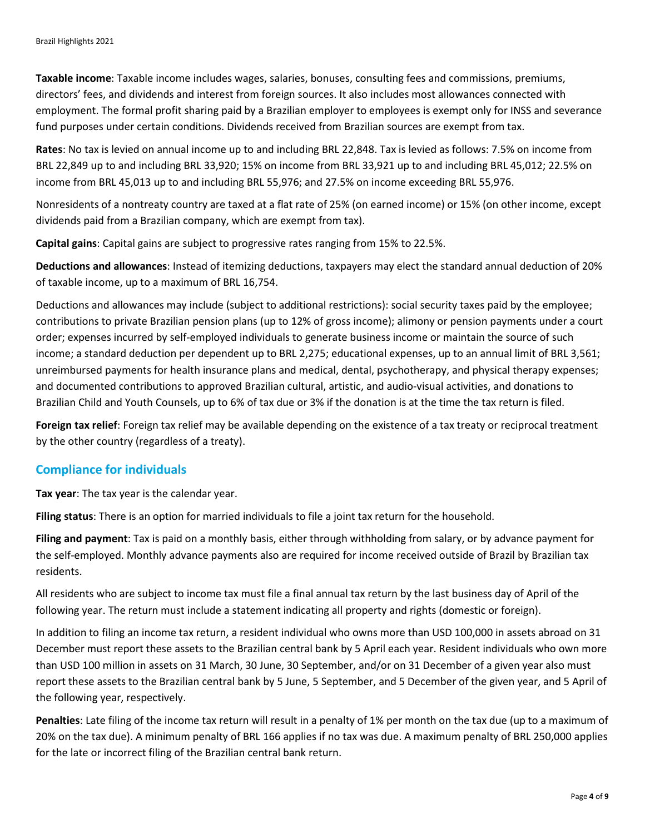**Taxable income**: Taxable income includes wages, salaries, bonuses, consulting fees and commissions, premiums, directors' fees, and dividends and interest from foreign sources. It also includes most allowances connected with employment. The formal profit sharing paid by a Brazilian employer to employees is exempt only for INSS and severance fund purposes under certain conditions. Dividends received from Brazilian sources are exempt from tax.

**Rates**: No tax is levied on annual income up to and including BRL 22,848. Tax is levied as follows: 7.5% on income from BRL 22,849 up to and including BRL 33,920; 15% on income from BRL 33,921 up to and including BRL 45,012; 22.5% on income from BRL 45,013 up to and including BRL 55,976; and 27.5% on income exceeding BRL 55,976.

Nonresidents of a nontreaty country are taxed at a flat rate of 25% (on earned income) or 15% (on other income, except dividends paid from a Brazilian company, which are exempt from tax).

**Capital gains**: Capital gains are subject to progressive rates ranging from 15% to 22.5%.

**Deductions and allowances**: Instead of itemizing deductions, taxpayers may elect the standard annual deduction of 20% of taxable income, up to a maximum of BRL 16,754.

Deductions and allowances may include (subject to additional restrictions): social security taxes paid by the employee; contributions to private Brazilian pension plans (up to 12% of gross income); alimony or pension payments under a court order; expenses incurred by self-employed individuals to generate business income or maintain the source of such income; a standard deduction per dependent up to BRL 2,275; educational expenses, up to an annual limit of BRL 3,561; unreimbursed payments for health insurance plans and medical, dental, psychotherapy, and physical therapy expenses; and documented contributions to approved Brazilian cultural, artistic, and audio-visual activities, and donations to Brazilian Child and Youth Counsels, up to 6% of tax due or 3% if the donation is at the time the tax return is filed.

**Foreign tax relief**: Foreign tax relief may be available depending on the existence of a tax treaty or reciprocal treatment by the other country (regardless of a treaty).

#### **Compliance for individuals**

**Tax year**: The tax year is the calendar year.

**Filing status**: There is an option for married individuals to file a joint tax return for the household.

**Filing and payment**: Tax is paid on a monthly basis, either through withholding from salary, or by advance payment for the self-employed. Monthly advance payments also are required for income received outside of Brazil by Brazilian tax residents.

All residents who are subject to income tax must file a final annual tax return by the last business day of April of the following year. The return must include a statement indicating all property and rights (domestic or foreign).

In addition to filing an income tax return, a resident individual who owns more than USD 100,000 in assets abroad on 31 December must report these assets to the Brazilian central bank by 5 April each year. Resident individuals who own more than USD 100 million in assets on 31 March, 30 June, 30 September, and/or on 31 December of a given year also must report these assets to the Brazilian central bank by 5 June, 5 September, and 5 December of the given year, and 5 April of the following year, respectively.

**Penalties**: Late filing of the income tax return will result in a penalty of 1% per month on the tax due (up to a maximum of 20% on the tax due). A minimum penalty of BRL 166 applies if no tax was due. A maximum penalty of BRL 250,000 applies for the late or incorrect filing of the Brazilian central bank return.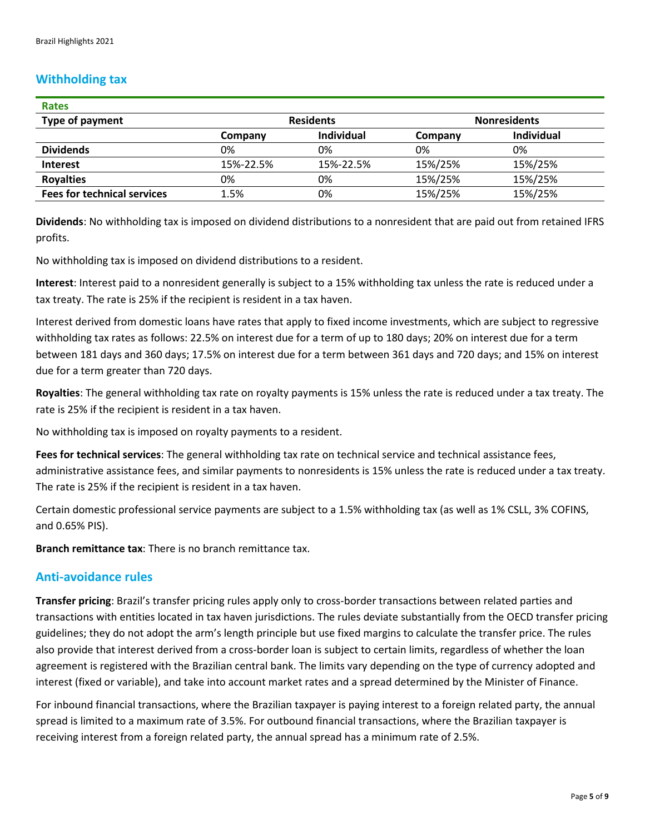# **Withholding tax**

| <b>Rates</b>                       |                  |                   |                     |                   |
|------------------------------------|------------------|-------------------|---------------------|-------------------|
| Type of payment                    | <b>Residents</b> |                   | <b>Nonresidents</b> |                   |
|                                    | Company          | <b>Individual</b> | Company             | <b>Individual</b> |
| <b>Dividends</b>                   | 0%               | 0%                | 0%                  | 0%                |
| <b>Interest</b>                    | 15%-22.5%        | 15%-22.5%         | 15%/25%             | 15%/25%           |
| <b>Royalties</b>                   | 0%               | 0%                | 15%/25%             | 15%/25%           |
| <b>Fees for technical services</b> | 1.5%             | 0%                | 15%/25%             | 15%/25%           |

**Dividends**: No withholding tax is imposed on dividend distributions to a nonresident that are paid out from retained IFRS profits.

No withholding tax is imposed on dividend distributions to a resident.

**Interest**: Interest paid to a nonresident generally is subject to a 15% withholding tax unless the rate is reduced under a tax treaty. The rate is 25% if the recipient is resident in a tax haven.

Interest derived from domestic loans have rates that apply to fixed income investments, which are subject to regressive withholding tax rates as follows: 22.5% on interest due for a term of up to 180 days; 20% on interest due for a term between 181 days and 360 days; 17.5% on interest due for a term between 361 days and 720 days; and 15% on interest due for a term greater than 720 days.

**Royalties**: The general withholding tax rate on royalty payments is 15% unless the rate is reduced under a tax treaty. The rate is 25% if the recipient is resident in a tax haven.

No withholding tax is imposed on royalty payments to a resident.

**Fees for technical services**: The general withholding tax rate on technical service and technical assistance fees, administrative assistance fees, and similar payments to nonresidents is 15% unless the rate is reduced under a tax treaty. The rate is 25% if the recipient is resident in a tax haven.

Certain domestic professional service payments are subject to a 1.5% withholding tax (as well as 1% CSLL, 3% COFINS, and 0.65% PIS).

**Branch remittance tax**: There is no branch remittance tax.

#### **Anti-avoidance rules**

**Transfer pricing**: Brazil's transfer pricing rules apply only to cross-border transactions between related parties and transactions with entities located in tax haven jurisdictions. The rules deviate substantially from the OECD transfer pricing guidelines; they do not adopt the arm's length principle but use fixed margins to calculate the transfer price. The rules also provide that interest derived from a cross-border loan is subject to certain limits, regardless of whether the loan agreement is registered with the Brazilian central bank. The limits vary depending on the type of currency adopted and interest (fixed or variable), and take into account market rates and a spread determined by the Minister of Finance.

For inbound financial transactions, where the Brazilian taxpayer is paying interest to a foreign related party, the annual spread is limited to a maximum rate of 3.5%. For outbound financial transactions, where the Brazilian taxpayer is receiving interest from a foreign related party, the annual spread has a minimum rate of 2.5%.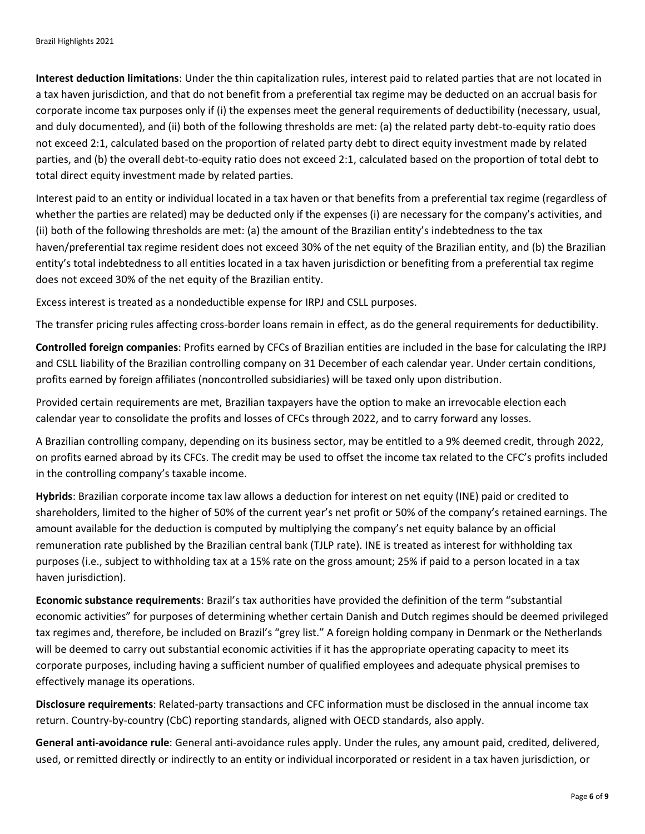**Interest deduction limitations**: Under the thin capitalization rules, interest paid to related parties that are not located in a tax haven jurisdiction, and that do not benefit from a preferential tax regime may be deducted on an accrual basis for corporate income tax purposes only if (i) the expenses meet the general requirements of deductibility (necessary, usual, and duly documented), and (ii) both of the following thresholds are met: (a) the related party debt-to-equity ratio does not exceed 2:1, calculated based on the proportion of related party debt to direct equity investment made by related parties, and (b) the overall debt-to-equity ratio does not exceed 2:1, calculated based on the proportion of total debt to total direct equity investment made by related parties.

Interest paid to an entity or individual located in a tax haven or that benefits from a preferential tax regime (regardless of whether the parties are related) may be deducted only if the expenses (i) are necessary for the company's activities, and (ii) both of the following thresholds are met: (a) the amount of the Brazilian entity's indebtedness to the tax haven/preferential tax regime resident does not exceed 30% of the net equity of the Brazilian entity, and (b) the Brazilian entity's total indebtedness to all entities located in a tax haven jurisdiction or benefiting from a preferential tax regime does not exceed 30% of the net equity of the Brazilian entity.

Excess interest is treated as a nondeductible expense for IRPJ and CSLL purposes.

The transfer pricing rules affecting cross-border loans remain in effect, as do the general requirements for deductibility.

**Controlled foreign companies**: Profits earned by CFCs of Brazilian entities are included in the base for calculating the IRPJ and CSLL liability of the Brazilian controlling company on 31 December of each calendar year. Under certain conditions, profits earned by foreign affiliates (noncontrolled subsidiaries) will be taxed only upon distribution.

Provided certain requirements are met, Brazilian taxpayers have the option to make an irrevocable election each calendar year to consolidate the profits and losses of CFCs through 2022, and to carry forward any losses.

A Brazilian controlling company, depending on its business sector, may be entitled to a 9% deemed credit, through 2022, on profits earned abroad by its CFCs. The credit may be used to offset the income tax related to the CFC's profits included in the controlling company's taxable income.

**Hybrids**: Brazilian corporate income tax law allows a deduction for interest on net equity (INE) paid or credited to shareholders, limited to the higher of 50% of the current year's net profit or 50% of the company's retained earnings. The amount available for the deduction is computed by multiplying the company's net equity balance by an official remuneration rate published by the Brazilian central bank (TJLP rate). INE is treated as interest for withholding tax purposes (i.e., subject to withholding tax at a 15% rate on the gross amount; 25% if paid to a person located in a tax haven jurisdiction).

**Economic substance requirements**: Brazil's tax authorities have provided the definition of the term "substantial economic activities" for purposes of determining whether certain Danish and Dutch regimes should be deemed privileged tax regimes and, therefore, be included on Brazil's "grey list." A foreign holding company in Denmark or the Netherlands will be deemed to carry out substantial economic activities if it has the appropriate operating capacity to meet its corporate purposes, including having a sufficient number of qualified employees and adequate physical premises to effectively manage its operations.

**Disclosure requirements**: Related-party transactions and CFC information must be disclosed in the annual income tax return. Country-by-country (CbC) reporting standards, aligned with OECD standards, also apply.

**General anti-avoidance rule**: General anti-avoidance rules apply. Under the rules, any amount paid, credited, delivered, used, or remitted directly or indirectly to an entity or individual incorporated or resident in a tax haven jurisdiction, or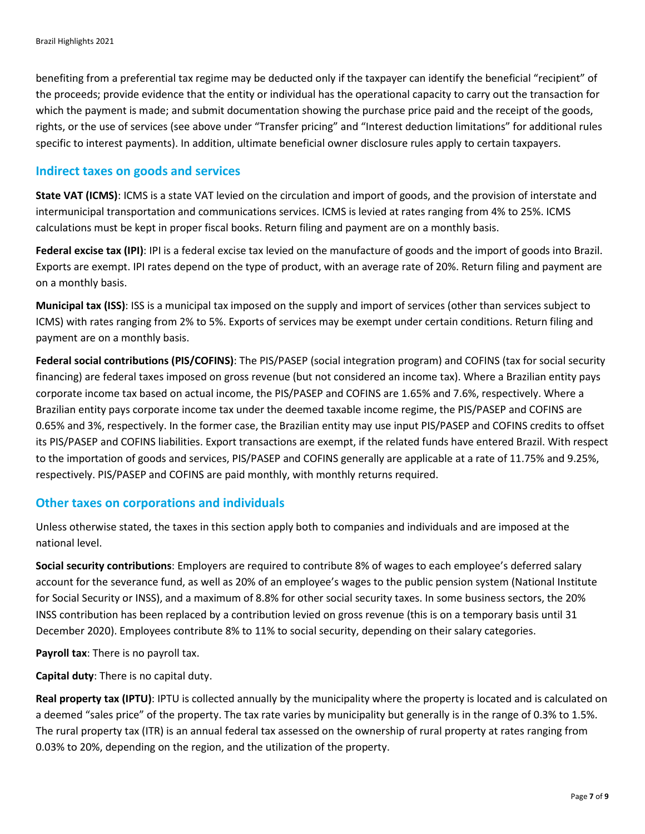benefiting from a preferential tax regime may be deducted only if the taxpayer can identify the beneficial "recipient" of the proceeds; provide evidence that the entity or individual has the operational capacity to carry out the transaction for which the payment is made; and submit documentation showing the purchase price paid and the receipt of the goods, rights, or the use of services (see above under "Transfer pricing" and "Interest deduction limitations" for additional rules specific to interest payments). In addition, ultimate beneficial owner disclosure rules apply to certain taxpayers.

#### **Indirect taxes on goods and services**

**State VAT (ICMS)**: ICMS is a state VAT levied on the circulation and import of goods, and the provision of interstate and intermunicipal transportation and communications services. ICMS is levied at rates ranging from 4% to 25%. ICMS calculations must be kept in proper fiscal books. Return filing and payment are on a monthly basis.

**Federal excise tax (IPI)**: IPI is a federal excise tax levied on the manufacture of goods and the import of goods into Brazil. Exports are exempt. IPI rates depend on the type of product, with an average rate of 20%. Return filing and payment are on a monthly basis.

**Municipal tax (ISS)**: ISS is a municipal tax imposed on the supply and import of services (other than services subject to ICMS) with rates ranging from 2% to 5%. Exports of services may be exempt under certain conditions. Return filing and payment are on a monthly basis.

**Federal social contributions (PIS/COFINS)**: The PIS/PASEP (social integration program) and COFINS (tax for social security financing) are federal taxes imposed on gross revenue (but not considered an income tax). Where a Brazilian entity pays corporate income tax based on actual income, the PIS/PASEP and COFINS are 1.65% and 7.6%, respectively. Where a Brazilian entity pays corporate income tax under the deemed taxable income regime, the PIS/PASEP and COFINS are 0.65% and 3%, respectively. In the former case, the Brazilian entity may use input PIS/PASEP and COFINS credits to offset its PIS/PASEP and COFINS liabilities. Export transactions are exempt, if the related funds have entered Brazil. With respect to the importation of goods and services, PIS/PASEP and COFINS generally are applicable at a rate of 11.75% and 9.25%, respectively. PIS/PASEP and COFINS are paid monthly, with monthly returns required.

#### **Other taxes on corporations and individuals**

Unless otherwise stated, the taxes in this section apply both to companies and individuals and are imposed at the national level.

**Social security contributions**: Employers are required to contribute 8% of wages to each employee's deferred salary account for the severance fund, as well as 20% of an employee's wages to the public pension system (National Institute for Social Security or INSS), and a maximum of 8.8% for other social security taxes. In some business sectors, the 20% INSS contribution has been replaced by a contribution levied on gross revenue (this is on a temporary basis until 31 December 2020). Employees contribute 8% to 11% to social security, depending on their salary categories.

**Payroll tax**: There is no payroll tax.

**Capital duty**: There is no capital duty.

**Real property tax (IPTU)**: IPTU is collected annually by the municipality where the property is located and is calculated on a deemed "sales price" of the property. The tax rate varies by municipality but generally is in the range of 0.3% to 1.5%. The rural property tax (ITR) is an annual federal tax assessed on the ownership of rural property at rates ranging from 0.03% to 20%, depending on the region, and the utilization of the property.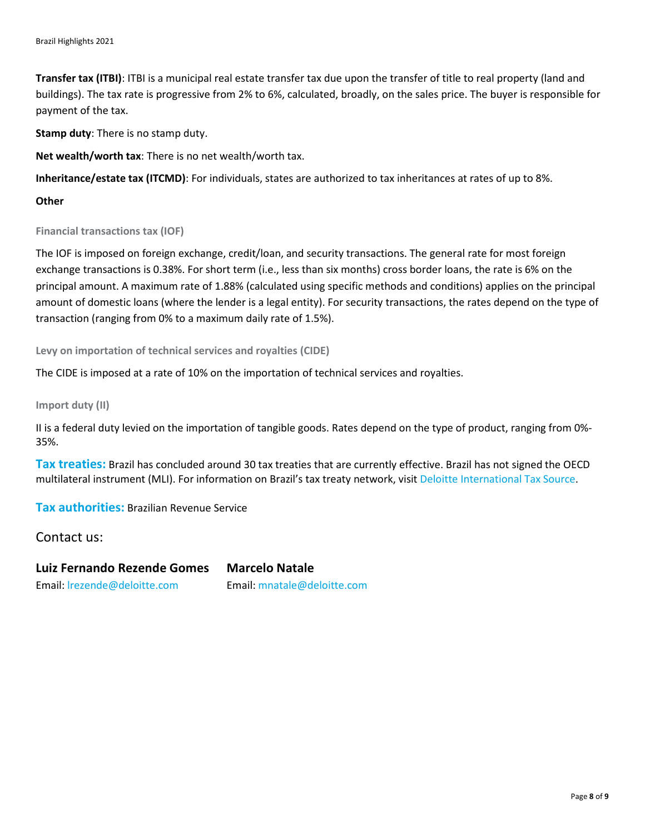**Transfer tax (ITBI)**: ITBI is a municipal real estate transfer tax due upon the transfer of title to real property (land and buildings). The tax rate is progressive from 2% to 6%, calculated, broadly, on the sales price. The buyer is responsible for payment of the tax.

**Stamp duty**: There is no stamp duty.

**Net wealth/worth tax**: There is no net wealth/worth tax.

**Inheritance/estate tax (ITCMD)**: For individuals, states are authorized to tax inheritances at rates of up to 8%.

#### **Other**

**Financial transactions tax (IOF)**

The IOF is imposed on foreign exchange, credit/loan, and security transactions. The general rate for most foreign exchange transactions is 0.38%. For short term (i.e., less than six months) cross border loans, the rate is 6% on the principal amount. A maximum rate of 1.88% (calculated using specific methods and conditions) applies on the principal amount of domestic loans (where the lender is a legal entity). For security transactions, the rates depend on the type of transaction (ranging from 0% to a maximum daily rate of 1.5%).

**Levy on importation of technical services and royalties (CIDE)**

The CIDE is imposed at a rate of 10% on the importation of technical services and royalties.

**Import duty (II)**

II is a federal duty levied on the importation of tangible goods. Rates depend on the type of product, ranging from 0%- 35%.

**Tax treaties:** Brazil has concluded around 30 tax treaties that are currently effective. Brazil has not signed the OECD multilateral instrument (MLI). For information on Brazil's tax treaty network, visit [Deloitte International Tax Source.](https://dits.deloitte.com/#Jurisdiction/2)

**Tax authorities:** Brazilian Revenue Service

Contact us:

**Luiz Fernando Rezende Gomes Marcelo Natale** Email: [lrezende@deloitte.com](mailto:lrezende@deloitte.com) Email: [mnatale@deloitte.com](mailto:mnatale@deloitte.com)